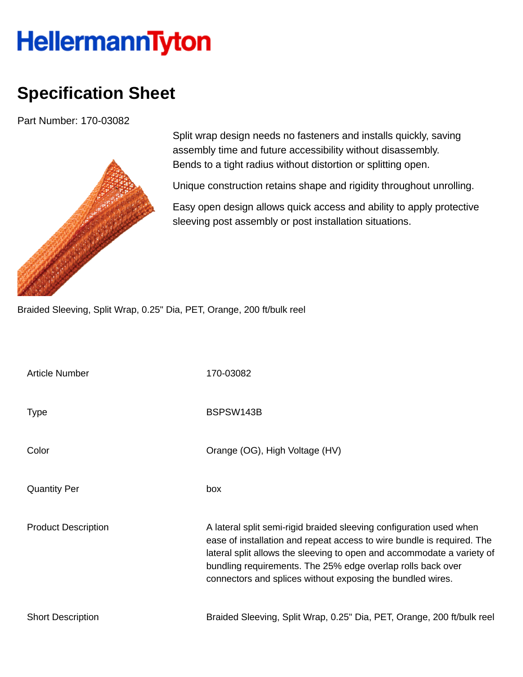## HellermannTyton

## **Specification Sheet**

Part Number: 170-03082



Split wrap design needs no fasteners and installs quickly, saving assembly time and future accessibility without disassembly. Bends to a tight radius without distortion or splitting open.

Unique construction retains shape and rigidity throughout unrolling.

Easy open design allows quick access and ability to apply protective sleeving post assembly or post installation situations.

Braided Sleeving, Split Wrap, 0.25" Dia, PET, Orange, 200 ft/bulk reel

| <b>Article Number</b>      | 170-03082                                                                                                                                                                                                                                                                                                                                            |
|----------------------------|------------------------------------------------------------------------------------------------------------------------------------------------------------------------------------------------------------------------------------------------------------------------------------------------------------------------------------------------------|
| <b>Type</b>                | BSPSW143B                                                                                                                                                                                                                                                                                                                                            |
| Color                      | Orange (OG), High Voltage (HV)                                                                                                                                                                                                                                                                                                                       |
| <b>Quantity Per</b>        | box                                                                                                                                                                                                                                                                                                                                                  |
| <b>Product Description</b> | A lateral split semi-rigid braided sleeving configuration used when<br>ease of installation and repeat access to wire bundle is required. The<br>lateral split allows the sleeving to open and accommodate a variety of<br>bundling requirements. The 25% edge overlap rolls back over<br>connectors and splices without exposing the bundled wires. |
| <b>Short Description</b>   | Braided Sleeving, Split Wrap, 0.25" Dia, PET, Orange, 200 ft/bulk reel                                                                                                                                                                                                                                                                               |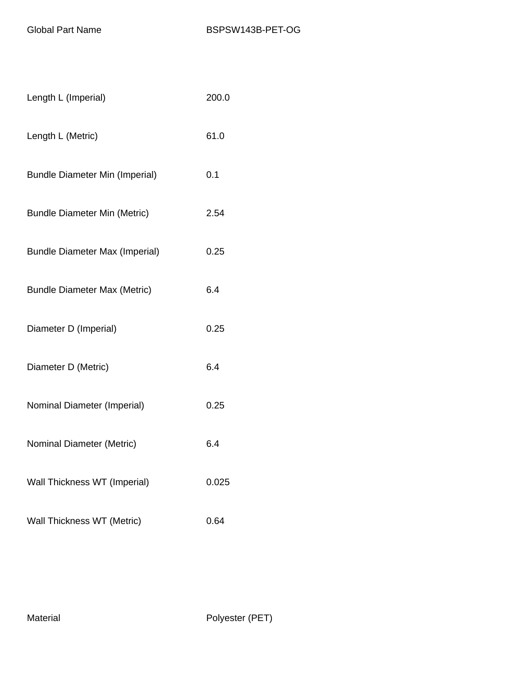| Length L (Imperial)                   | 200.0 |
|---------------------------------------|-------|
| Length L (Metric)                     | 61.0  |
| <b>Bundle Diameter Min (Imperial)</b> | 0.1   |
| <b>Bundle Diameter Min (Metric)</b>   | 2.54  |
| <b>Bundle Diameter Max (Imperial)</b> | 0.25  |
| <b>Bundle Diameter Max (Metric)</b>   | 6.4   |
| Diameter D (Imperial)                 | 0.25  |
| Diameter D (Metric)                   | 6.4   |
| Nominal Diameter (Imperial)           | 0.25  |
| Nominal Diameter (Metric)             | 6.4   |
| Wall Thickness WT (Imperial)          | 0.025 |
| Wall Thickness WT (Metric)            | 0.64  |